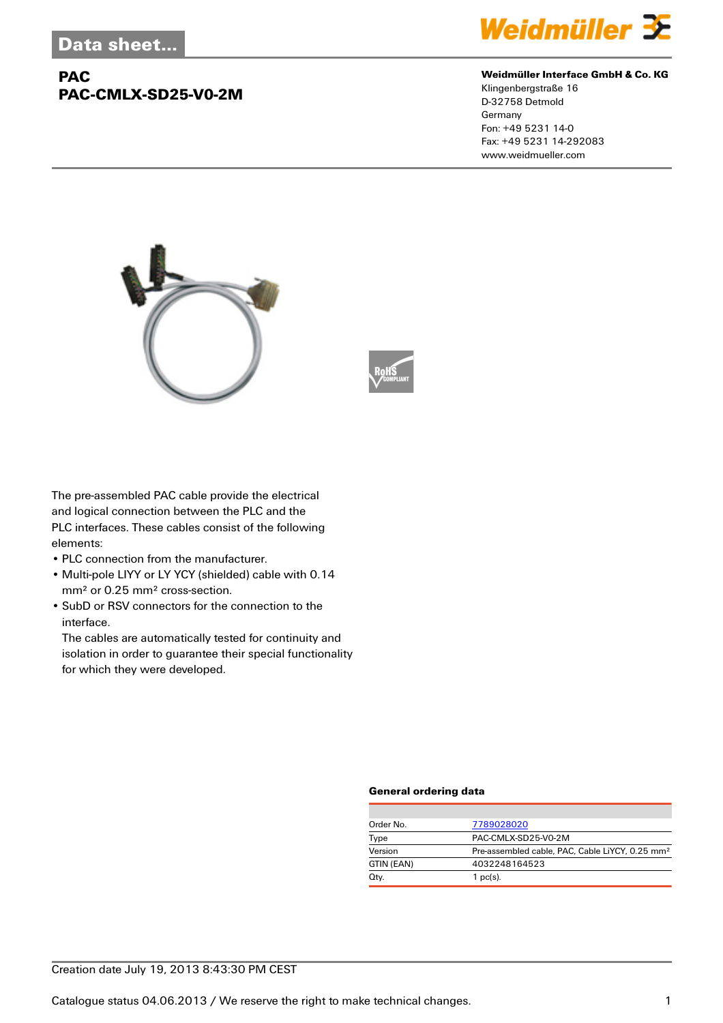## **PAC PAC-CMLX-SD25-V0-2M**



#### **Weidmüller Interface GmbH & Co. KG**

Klingenbergstraße 16 D-32758 Detmold Germany Fon: +49 5231 14-0 Fax: +49 5231 14-292083 www.weidmueller.com





The pre-assembled PAC cable provide the electrical and logical connection between the PLC and the PLC interfaces. These cables consist of the following elements:

- PLC connection from the manufacturer.
- Multi-pole LIYY or LY YCY (shielded) cable with 0.14 mm² or 0.25 mm² cross-section.
- SubD or RSV connectors for the connection to the interface.

The cables are automatically tested for continuity and isolation in order to guarantee their special functionality for which they were developed.

#### **General ordering data**

| Order No.  | 7789028020                                                  |
|------------|-------------------------------------------------------------|
| Type       | PAC-CMLX-SD25-V0-2M                                         |
| Version    | Pre-assembled cable, PAC, Cable LiYCY, 0.25 mm <sup>2</sup> |
| GTIN (EAN) | 4032248164523                                               |
| Qty.       | 1 $pc(s)$ .                                                 |